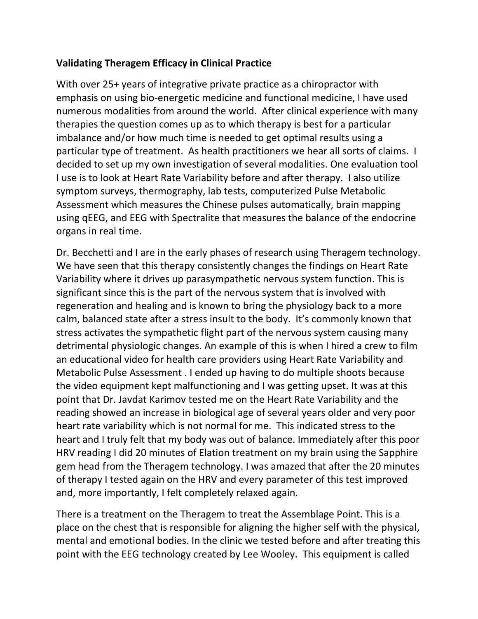## **Validating Theragem Efficacy in Clinical Practice**

With over 25+ years of integrative private practice as a chiropractor with emphasis on using bio-energetic medicine and functional medicine, I have used numerous modalities from around the world. After clinical experience with many therapies the question comes up as to which therapy is best for a particular imbalance and/or how much time is needed to get optimal results using a particular type of treatment. As health practitioners we hear all sorts of claims. I decided to set up my own investigation of several modalities. One evaluation tool I use is to look at Heart Rate Variability before and after therapy. I also utilize symptom surveys, thermography, lab tests, computerized Pulse Metabolic Assessment which measures the Chinese pulses automatically, brain mapping using qEEG, and EEG with Spectralite that measures the balance of the endocrine organs in real time.

Dr. Becchetti and I are in the early phases of research using Theragem technology. We have seen that this therapy consistently changes the findings on Heart Rate Variability where it drives up parasympathetic nervous system function. This is significant since this is the part of the nervous system that is involved with regeneration and healing and is known to bring the physiology back to a more calm, balanced state after a stress insult to the body. It's commonly known that stress activates the sympathetic flight part of the nervous system causing many detrimental physiologic changes. An example of this is when I hired a crew to film an educational video for health care providers using Heart Rate Variability and Metabolic Pulse Assessment . I ended up having to do multiple shoots because the video equipment kept malfunctioning and I was getting upset. It was at this point that Dr. Javdat Karimov tested me on the Heart Rate Variability and the reading showed an increase in biological age of several years older and very poor heart rate variability which is not normal for me. This indicated stress to the heart and I truly felt that my body was out of balance. Immediately after this poor HRV reading I did 20 minutes of Elation treatment on my brain using the Sapphire gem head from the Theragem technology. I was amazed that after the 20 minutes of therapy I tested again on the HRV and every parameter of this test improved and, more importantly, I felt completely relaxed again.

There is a treatment on the Theragem to treat the Assemblage Point. This is a place on the chest that is responsible for aligning the higher self with the physical, mental and emotional bodies. In the clinic we tested before and after treating this point with the EEG technology created by Lee Wooley. This equipment is called